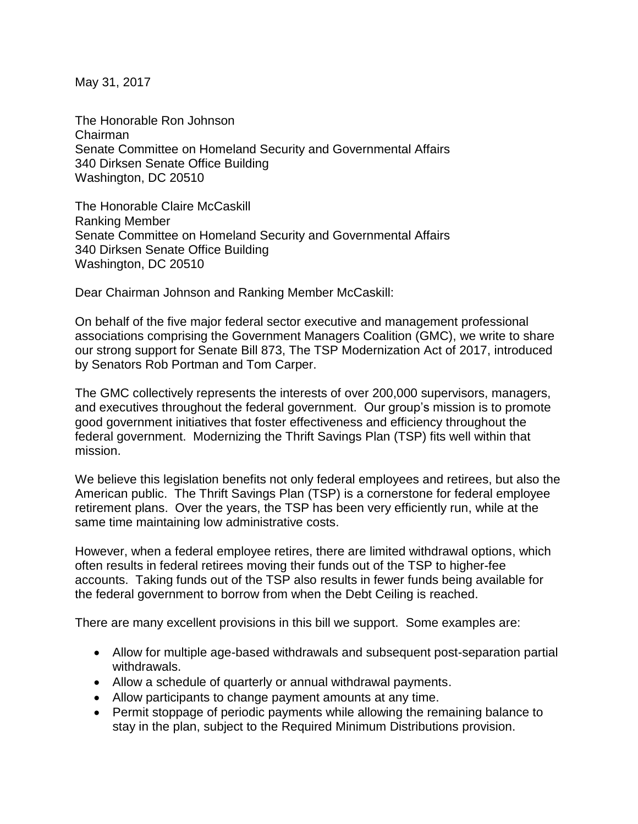May 31, 2017

The Honorable Ron Johnson Chairman Senate Committee on Homeland Security and Governmental Affairs 340 Dirksen Senate Office Building Washington, DC 20510

The Honorable Claire McCaskill Ranking Member Senate Committee on Homeland Security and Governmental Affairs 340 Dirksen Senate Office Building Washington, DC 20510

Dear Chairman Johnson and Ranking Member McCaskill:

On behalf of the five major federal sector executive and management professional associations comprising the Government Managers Coalition (GMC), we write to share our strong support for Senate Bill 873, The TSP Modernization Act of 2017, introduced by Senators Rob Portman and Tom Carper.

The GMC collectively represents the interests of over 200,000 supervisors, managers, and executives throughout the federal government. Our group's mission is to promote good government initiatives that foster effectiveness and efficiency throughout the federal government. Modernizing the Thrift Savings Plan (TSP) fits well within that mission.

We believe this legislation benefits not only federal employees and retirees, but also the American public. The Thrift Savings Plan (TSP) is a cornerstone for federal employee retirement plans. Over the years, the TSP has been very efficiently run, while at the same time maintaining low administrative costs.

However, when a federal employee retires, there are limited withdrawal options, which often results in federal retirees moving their funds out of the TSP to higher-fee accounts. Taking funds out of the TSP also results in fewer funds being available for the federal government to borrow from when the Debt Ceiling is reached.

There are many excellent provisions in this bill we support. Some examples are:

- Allow for multiple age-based withdrawals and subsequent post-separation partial withdrawals.
- Allow a schedule of quarterly or annual withdrawal payments.
- Allow participants to change payment amounts at any time.
- Permit stoppage of periodic payments while allowing the remaining balance to stay in the plan, subject to the Required Minimum Distributions provision.